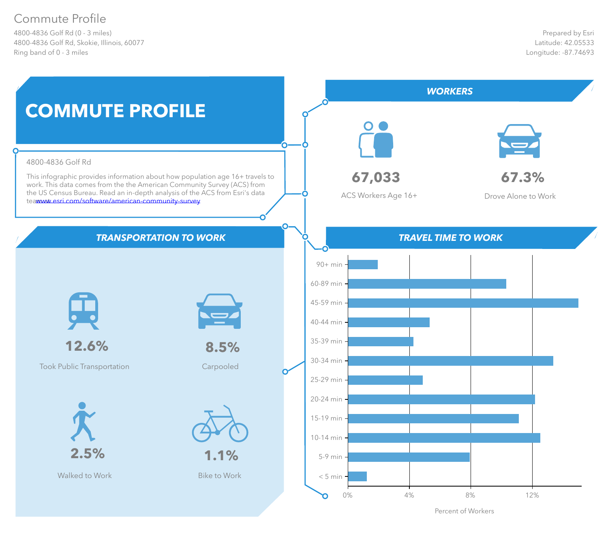# Commute Profile

4800-4836 Golf Rd (0 - 3 miles) 4800-4836 Golf Rd, Skokie, Illinois, 60077 Ring band of 0 - 3 miles



Percent of Workers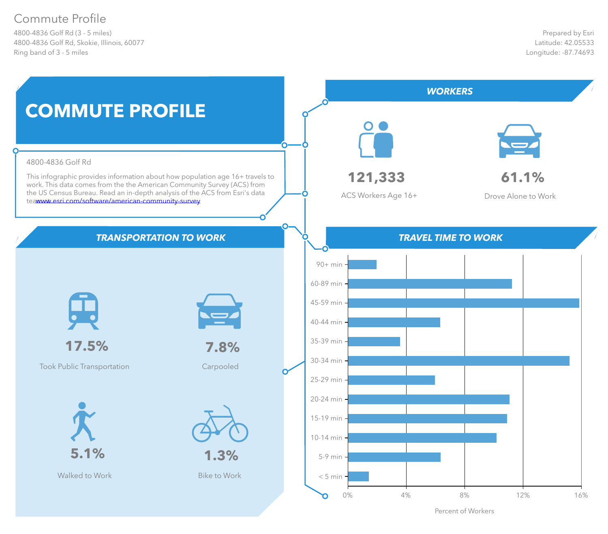# Commute Profile

4800-4836 Golf Rd (3 - 5 miles) 4800-4836 Golf Rd, Skokie, Illinois, 60077 Ring band of 3 - 5 miles



Percent of Workers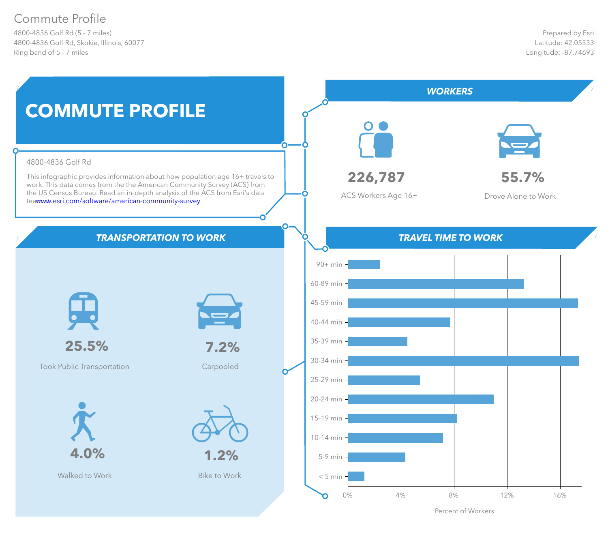# Commute Profile

4800-4836 Golf Rd (5 - 7 miles) 4800-4836 Golf Rd, Skokie, Illinois, 60077 Ring band of 5 - 7 miles



Percent of Workers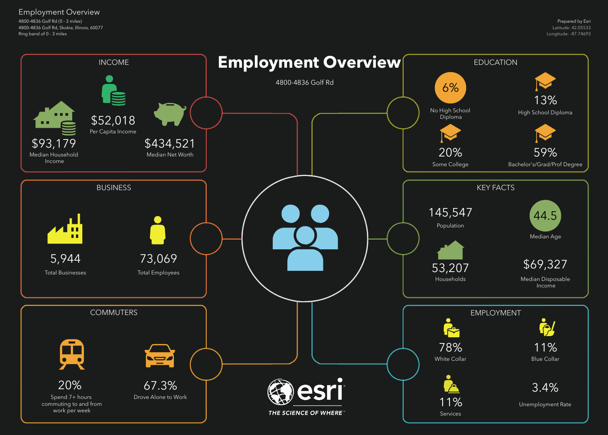4800-4836 Golf Rd (0 - 3 miles) 4800-4836 Golf Rd, Skokie, Illinois, 60077 Ring band of 0 - 3 miles

Employment Overview

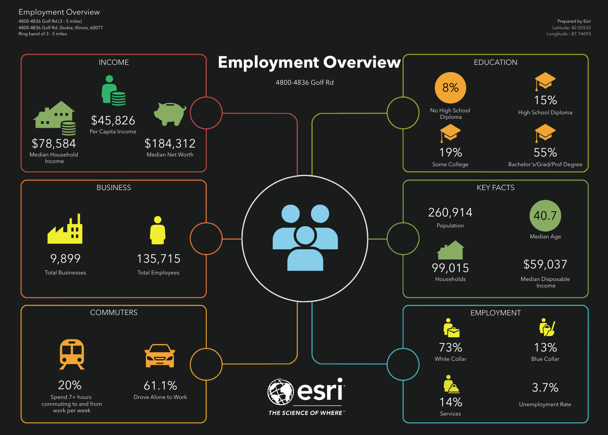4800-4836 Golf Rd (3 - 5 miles) 4800-4836 Golf Rd, Skokie, Illinois, 60077 Ring band of 3 - 5 miles

Employment Overview

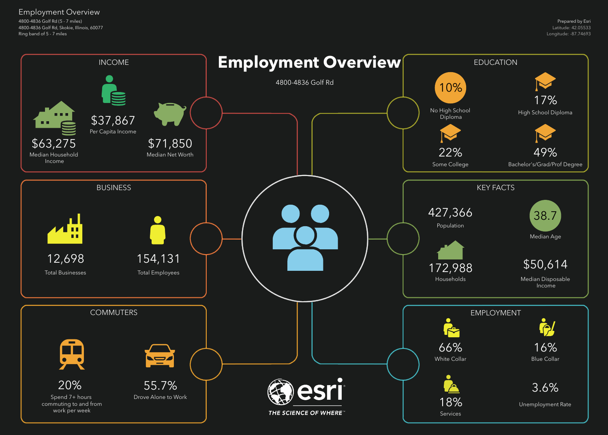4800-4836 Golf Rd (5 - 7 miles) 4800-4836 Golf Rd, Skokie, Illinois, 60077 Ring band of 5 - 7 miles

Employment Overview

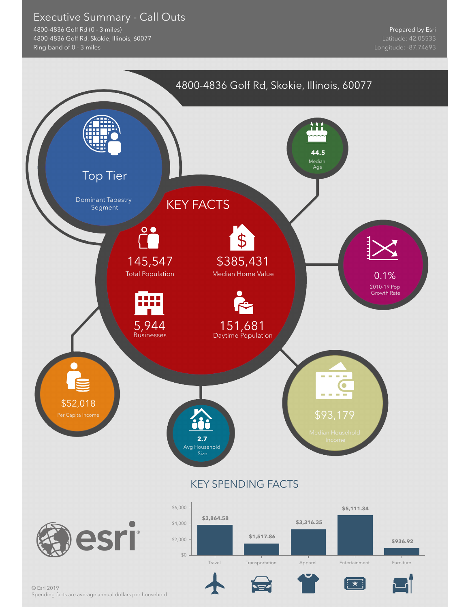# Executive Summary - Call Outs

4800-4836 Golf Rd (0 - 3 miles) 4800-4836 Golf Rd, Skokie, Illinois, 60077 Ring band of 0 - 3 miles

Prepared by Esri



Spending facts are average annual dollars per household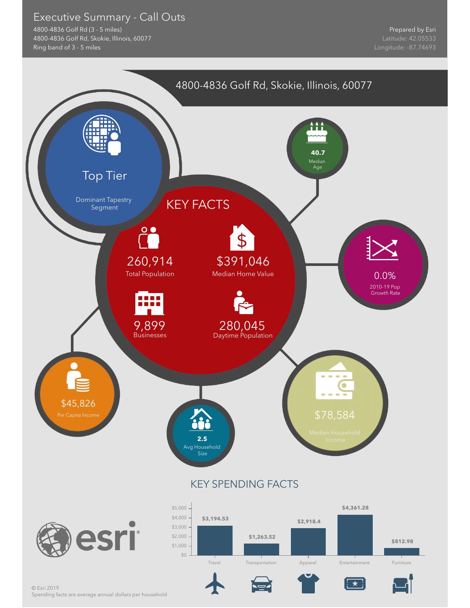# Executive Summary - Call Outs

4800-4836 Golf Rd (3 - 5 miles) 4800-4836 Golf Rd, Skokie, Illinois, 60077 Ring band of 3 - 5 miles

Prepared by Esri



Spending facts are average annual dollars per household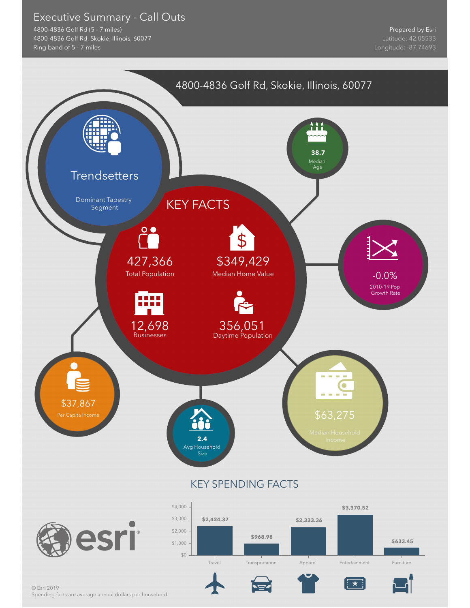# Executive Summary - Call Outs

4800-4836 Golf Rd (5 - 7 miles) 4800-4836 Golf Rd, Skokie, Illinois, 60077 Ring band of 5 - 7 miles

Prepared by Esri

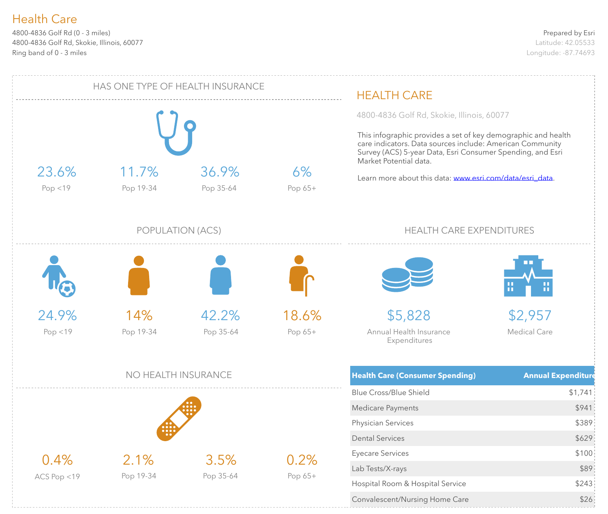4800-4836 Golf Rd (0 - 3 miles) 4800-4836 Golf Rd, Skokie, Illinois, 60077 Ring band of 0 - 3 miles

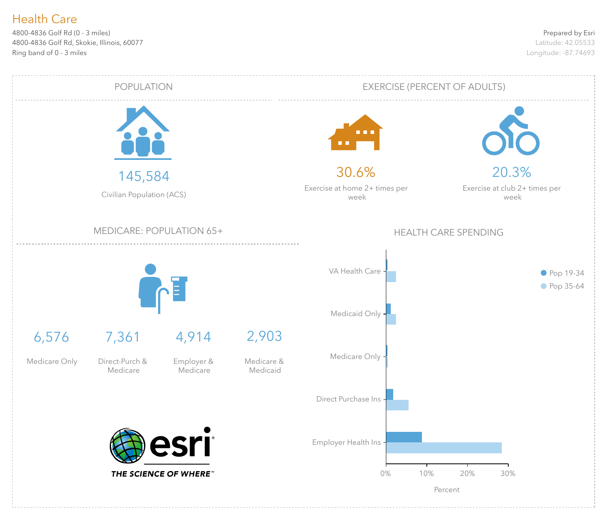4800-4836 Golf Rd (0 - 3 miles) 4800-4836 Golf Rd, Skokie, Illinois, 60077 Ring band of 0 - 3 miles

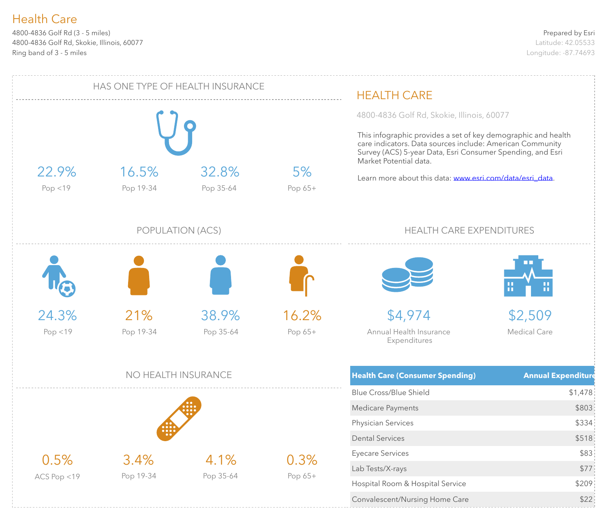4800-4836 Golf Rd (3 - 5 miles) 4800-4836 Golf Rd, Skokie, Illinois, 60077 Ring band of 3 - 5 miles

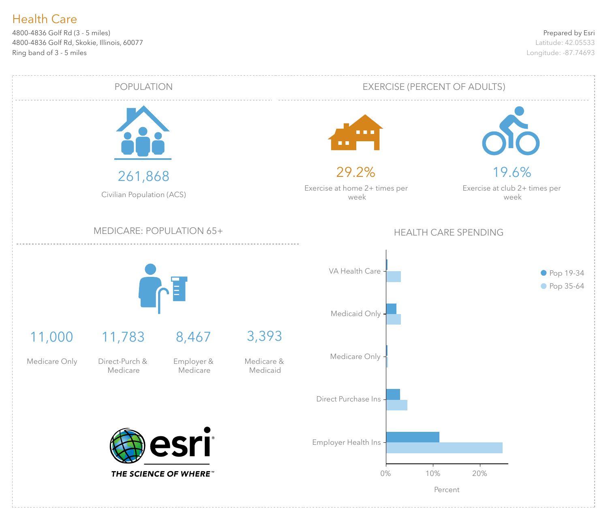4800-4836 Golf Rd (3 - 5 miles) 4800-4836 Golf Rd, Skokie, Illinois, 60077 Ring band of 3 - 5 miles

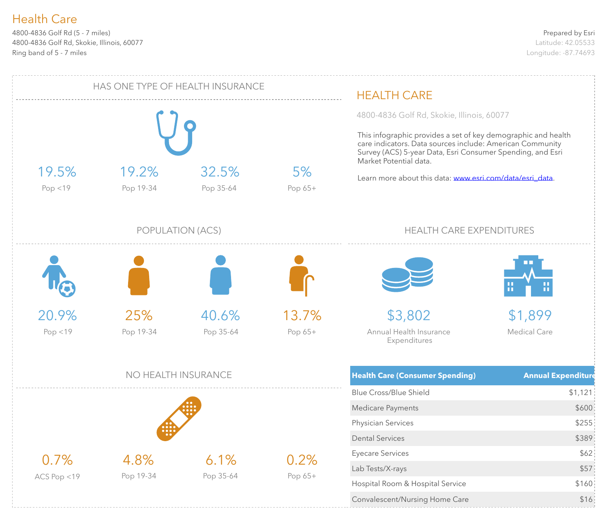4800-4836 Golf Rd (5 - 7 miles) 4800-4836 Golf Rd, Skokie, Illinois, 60077 Ring band of 5 - 7 miles

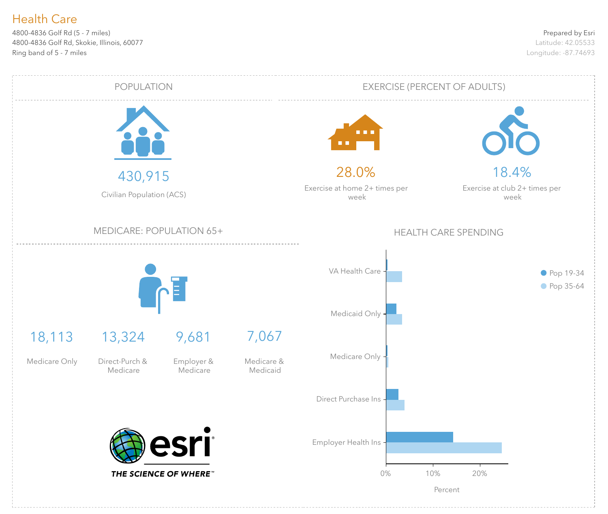4800-4836 Golf Rd (5 - 7 miles) 4800-4836 Golf Rd, Skokie, Illinois, 60077 Ring band of 5 - 7 miles

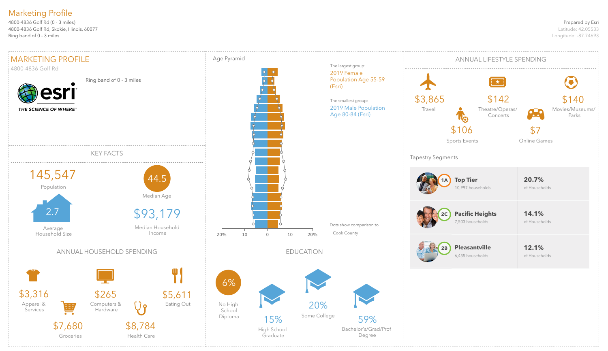#### Prepared by Esri

Latitude: 42.05533 Longitude: -87.74693

4800-4836 Golf Rd (0 - 3 miles) 4800-4836 Golf Rd, Skokie, Illinois, 60077 Ring band of 0 - 3 miles

# Marketing Profile

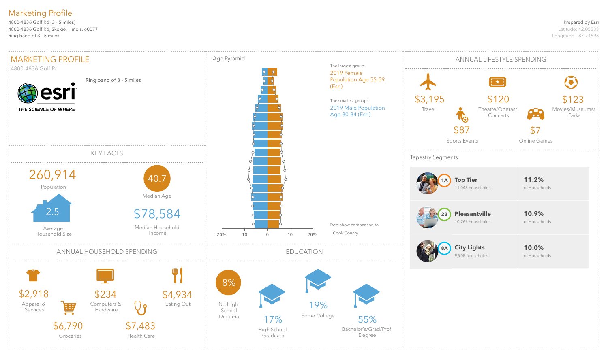#### Prepared by Esri

Latitude: 42.05533 Longitude: -87.74693

4800-4836 Golf Rd (3 - 5 miles) 4800-4836 Golf Rd, Skokie, Illinois, 60077 Ring band of 3 - 5 miles

# Marketing Profile

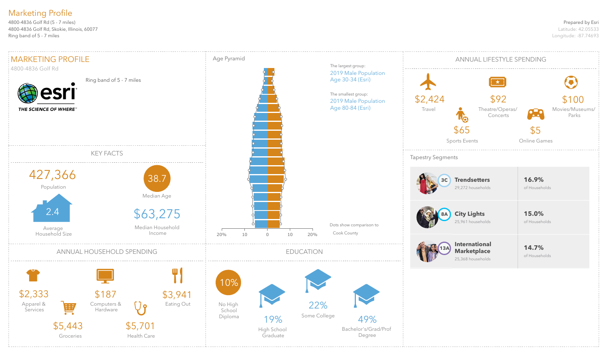#### Prepared by Esri

Latitude: 42.05533 Longitude: -87.74693

4800-4836 Golf Rd (5 - 7 miles) 4800-4836 Golf Rd, Skokie, Illinois, 60077 Ring band of 5 - 7 miles

# Marketing Profile

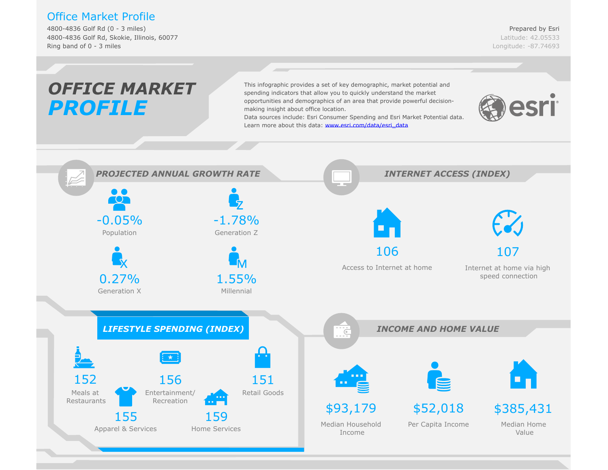# Office Market Profile

4800-4836 Golf Rd (0 - 3 miles) 4800-4836 Golf Rd, Skokie, Illinois, 60077 Ring band of 0 - 3 miles

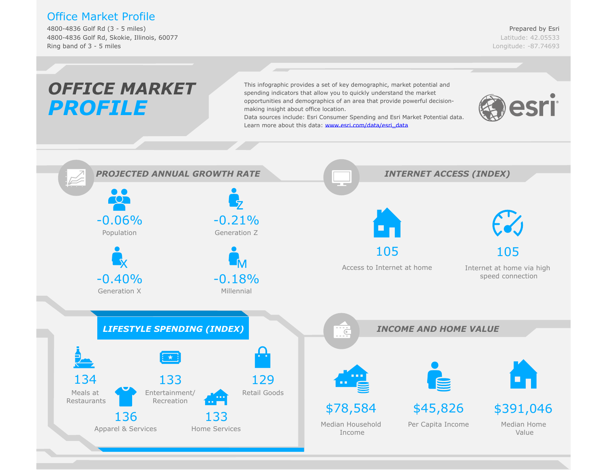# Office Market Profile

4800-4836 Golf Rd (3 - 5 miles) 4800-4836 Golf Rd, Skokie, Illinois, 60077 Ring band of 3 - 5 miles

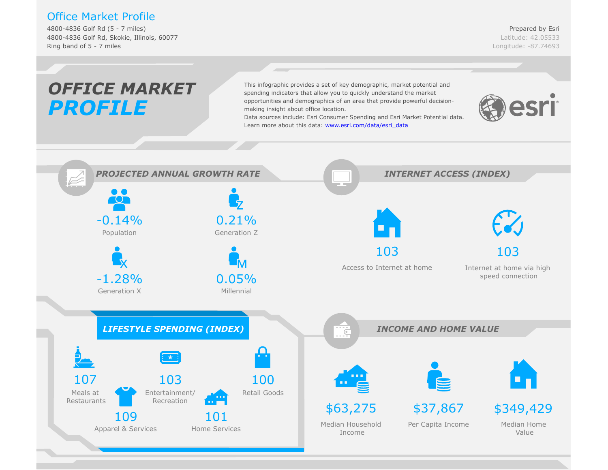# Office Market Profile

4800-4836 Golf Rd (5 - 7 miles) 4800-4836 Golf Rd, Skokie, Illinois, 60077 Ring band of 5 - 7 miles

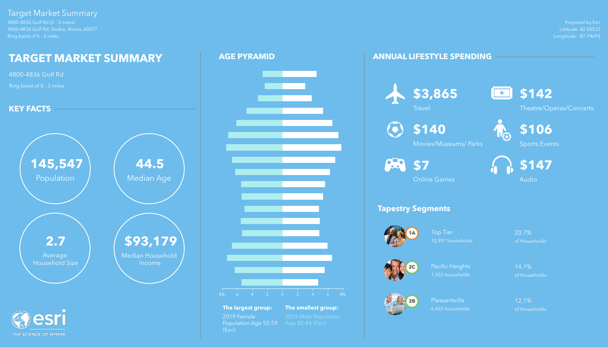Prepared by Esri Latitude: 42.05533 Longitude: -87.74693

4800-4836 Golf Rd (0 - 3 miles) 4800-4836 Golf Rd, Skokie, Illinois, 60077 Ring band of 0 - 3 miles

# Target Market Summary

Pacific Heights 14.1% 7,503 households of Households

Pleasantville 12.1% 6,455 households of Households

# **ANNUAL LIFESTYLE SPENDING**



# **Tapestry Segments**



Top Tier 20.7% 10,997 households of Households





**\$3,865**

**Travel** 



Theatre/Operas/Concerts



**\$140**

Movies/Museums/ Parks





Sports Events

Online Games



Audio



# $\left( \bullet \right)$ **82** \$7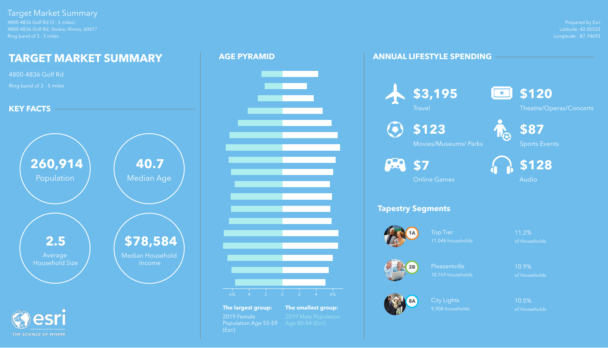Prepared by Esri Latitude: 42.05533 Longitude: -87.74693



4800-4836 Golf Rd (3 - 5 miles) 4800-4836 Golf Rd, Skokie, Illinois, 60077 Ring band of 3 - 5 miles

> Top Tier **11.2%** 11,048 households of Households

# Target Market Summary

City Lights 10.0% 9,908 households of Households

# **ANNUAL LIFESTYLE SPENDING**

# **Tapestry Segments**





Pleasantville 10.9% 10,769 households of Households







 $\odot$ 





Theatre/Operas/Concerts



**\$123**

Movies/Museums/ Parks

**82** \$7



Sports Events



Online Games



Audio



**The largest group: The smallest group:** 2019 Female 2019 Male Population<br>Population Age 55-59 Age 80-84 (Esri) Population Age 55-59 (Esri)